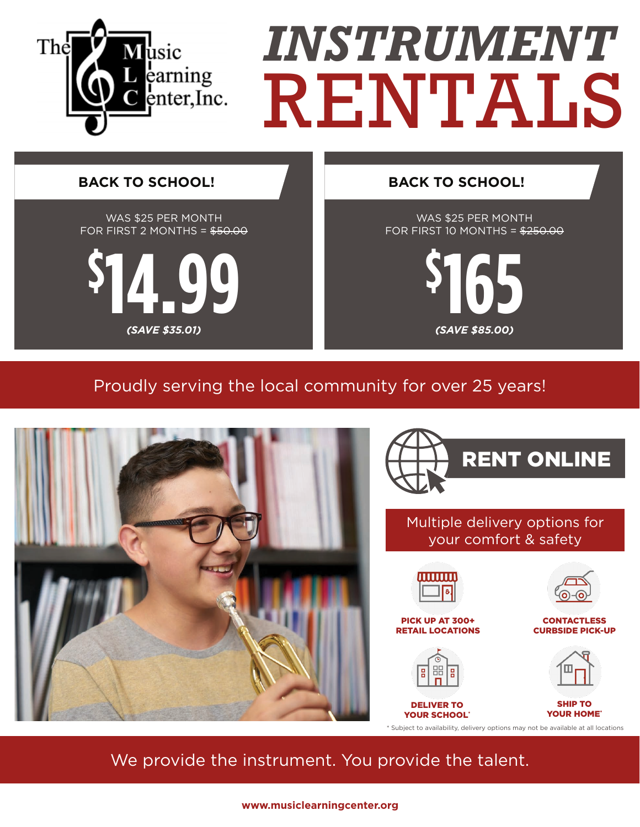

## Proudly serving the local community for over 25 years!



We provide the instrument. You provide the talent.